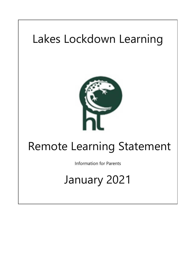# Lakes Lockdown Learning



## Remote Learning Statement

Information for Parents

## January 2021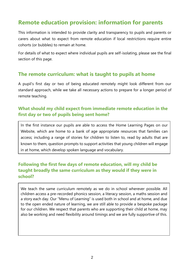## **Remote education provision: information for parents**

This information is intended to provide clarity and transparency to pupils and parents or carers about what to expect from remote education if local restrictions require entire cohorts (or bubbles) to remain at home.

For details of what to expect where individual pupils are self-isolating, please see the final section of this page.

#### **The remote curriculum: what is taught to pupils at home**

A pupil's first day or two of being educated remotely might look different from our standard approach, while we take all necessary actions to prepare for a longer period of remote teaching.

#### **What should my child expect from immediate remote education in the first day or two of pupils being sent home?**

In the first instance our pupils are able to access the Home Learning Pages on our Website, which are home to a bank of age appropriate resources that families can access; including a range of stories for children to listen to, read by adults that are known to them, question prompts to support activities that young children will engage in at home, which develop spoken language and vocabulary.

#### **Following the first few days of remote education, will my child be taught broadly the same curriculum as they would if they were in school?**

We teach the same curriculum remotely as we do in school wherever possible. All children access a pre-recorded phonics session, a literacy session, a maths session and a story each day. Our "Menu of Learning" is used both in school and at home, and due to the open ended nature of learning, we are still able to provide a bespoke package for our children. We respect that parents who are supporting their child at home, may also be working and need flexibility around timings and we are fully supportive of this.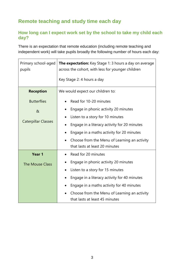## **Remote teaching and study time each day**

#### **How long can I expect work set by the school to take my child each day?**

There is an expectation that remote education (including remote teaching and independent work) will take pupils broadly the following number of hours each day:

| Primary school-aged<br>pupils | <b>The expectation:</b> Key Stage 1: 3 hours a day on average<br>across the cohort, with less for younger children |
|-------------------------------|--------------------------------------------------------------------------------------------------------------------|
|                               | Key Stage 2: 4 hours a day                                                                                         |
| <b>Reception</b>              | We would expect our children to:                                                                                   |
| <b>Butterflies</b>            | Read for 10-20 minutes                                                                                             |
| $\alpha$                      | Engage in phonic activity 20 minutes<br>$\bullet$                                                                  |
|                               | Listen to a story for 10 minutes<br>$\bullet$                                                                      |
| <b>Caterpillar Classes</b>    | Engage in a literacy activity for 20 minutes                                                                       |
|                               | Engage in a maths activity for 20 minutes                                                                          |
|                               | Choose from the Menu of Learning an activity<br>$\bullet$                                                          |
|                               | that lasts at least 20 minutes                                                                                     |
| Year 1                        | Read for 20 minutes                                                                                                |
| <b>The Mouse Class</b>        | Engage in phonic activity 20 minutes                                                                               |
|                               | Listen to a story for 15 minutes                                                                                   |
|                               | Engage in a literacy activity for 40 minutes                                                                       |
|                               | Engage in a maths activity for 40 minutes                                                                          |
|                               | Choose from the Menu of Learning an activity<br>that lasts at least 45 minutes                                     |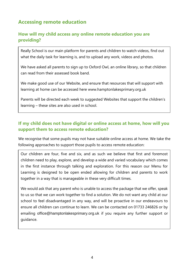## **Accessing remote education**

#### **How will my child access any online remote education you are providing?**

Really School is our main platform for parents and children to watch videos, find out what the daily task for learning is, and to upload any work, videos and photos.

We have asked all parents to sign up to Oxford Owl, an online library, so that children can read from their assessed book band.

We make good use of our Website, and ensure that resources that will support with learning at home can be accessed here www.hamptonlakesprimary.org.uk

Parents will be directed each week to suggested Websites that support the children's learning – these sites are also used in school.

#### **If my child does not have digital or online access at home, how will you support them to access remote education?**

We recognise that some pupils may not have suitable online access at home. We take the following approaches to support those pupils to access remote education:

Our children are four, five and six, and as such we believe that first and foremost children need to play, explore, and develop a wide and varied vocabulary which comes in the first instance through talking and exploration. For this reason our Menu for Learning is designed to be open ended allowing for children and parents to work together in a way that is manageable in these very difficult times.

We would ask that any parent who is unable to access the package that we offer, speak to us so that we can work together to find a solution. We do not want any child at our school to feel disadvantaged in any way, and will be proactive in our endeavours to ensure all children can continue to learn. We can be contacted on 01733 246826 or by emailing [office@hamptonlakesprimary.org.uk](mailto:office@hamptonlakesprimary.org.uk) if you require any further support or guidance.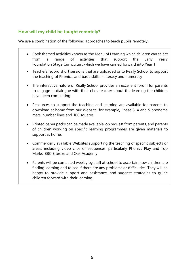#### **How will my child be taught remotely?**

We use a combination of the following approaches to teach pupils remotely:

- Book themed activities known as the Menu of Learning which children can select from a range of activities that support the Early Years Foundation Stage Curriculum, which we have carried forward into Year 1
- Teachers record short sessions that are uploaded onto Really School to support the teaching of Phonics, and basic skills in literacy and numeracy
- The interactive nature of Really School provides an excellent forum for parents to engage in dialogue with their class teacher about the learning the children have been completing
- Resources to support the teaching and learning are available for parents to download at home from our Website; for example, Phase 3, 4 and 5 phoneme mats, number lines and 100 squares
- Printed paper packs can be made available, on request from parents, and parents of children working on specific learning programmes are given materials to support at home.
- Commercially available Websites supporting the teaching of specific subjects or areas, including video clips or sequences, particularly Phonics Play and Top Marks, BBC Bitesize and Oak Academy
- Parents will be contacted weekly by staff at school to ascertain how children are finding learning and to see if there are any problems or difficulties. They will be happy to provide support and assistance, and suggest strategies to guide children forward with their learning.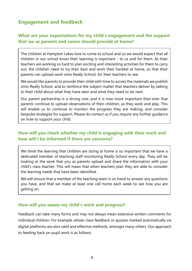### **Engagement and feedback**

#### **What are your expectations for my child's engagement and the support that we as parents and carers should provide at home?**

The children at Hampton Lakes love to come to school and so we would expect that all children in our school know their learning is important - to us and for them. As their teachers are working so hard to plan exciting and interesting activities for them to carry out, the children need to try their best and work their hardest at home, so that their parents can upload work onto Really School, for their teachers to see.

We would like parents to provide their child with time to access the materials we publish onto Really School, and to reinforce the subject matter that teachers deliver by talking to their child about what they have seen and what they need to do next.

Our parent partnership is a strong one, and it is now more important than ever that parents continue to upload observations of their children, as they work and play. This will enable us to continue to monitor the progress they are making, and consider bespoke strategies for support. Please do contact us if you require any further guidance on how to support your child.

#### **How will you check whether my child is engaging with their work and how will I be informed if there are concerns?**

We think the learning that children are doing at home is so important that we have a dedicated member of teaching staff monitoring Really School every day. They will be looking at the work that you as parents upload and share the information with your child's class teacher. This will mean that when teachers plan they are able to consider the learning needs that have been identified.

We will ensure that a member of the teaching team is on hand to answer any questions you have, and that we make at least one call home each week to see how you are getting on.

#### **How will you assess my child's work and progress?**

Feedback can take many forms and may not always mean extensive written comments for individual children. For example, whole-class feedback or quizzes marked automatically via digital platforms are also valid and effective methods, amongst many others. Our approach to feeding back on pupil work is as follows: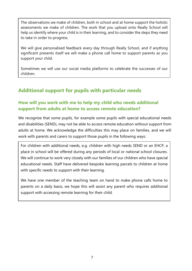The observations we make of children, both in school and at home support the holistic assessments we make of children. The work that you upload onto Really School will help us identify where your child is in their learning, and to consider the steps they need to take in order to progress.

We will give personalised feedback every day through Really School, and if anything significant presents itself we will make a phone call home to support parents as you support your child.

Sometimes we will use our social media platforms to celebrate the successes of our children.

## **Additional support for pupils with particular needs**

#### **How will you work with me to help my child who needs additional support from adults at home to access remote education?**

We recognise that some pupils, for example some pupils with special educational needs and disabilities (SEND), may not be able to access remote education without support from adults at home. We acknowledge the difficulties this may place on families, and we will work with parents and carers to support those pupils in the following ways:

For children with additional needs, e.g. children with high needs SEND or an EHCP, a place in school will be offered during any periods of local or national school closures. We will continue to work very closely with our families of our children who have special educational needs. Staff have delivered bespoke learning parcels to children at home with specific needs to support with their learning.

We have one member of the teaching team on hand to make phone calls home to parents on a daily basis, we hope this will assist any parent who requires additional support with accessing remote learning for their child.